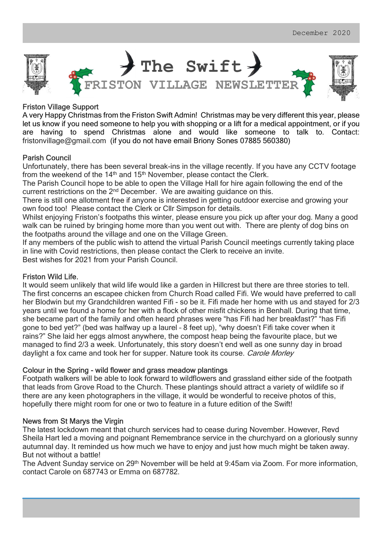

## Friston Village Support

A very Happy Christmas from the Friston Swift Admin! Christmas may be very different this year, please let us know if you need someone to help you with shopping or a lift for a medical appointment, or if you are having to spend Christmas alone and would like someone to talk to. Contact: fristonvillage@gmail.com (if you do not have email Briony Sones 07885 560380)

## Parish Council

Unfortunately, there has been several break-ins in the village recently. If you have any CCTV footage from the weekend of the 14<sup>th</sup> and 15<sup>th</sup> November, please contact the Clerk.

The Parish Council hope to be able to open the Village Hall for hire again following the end of the current restrictions on the  $2<sup>nd</sup>$  December. We are awaiting guidance on this.

There is still one allotment free if anyone is interested in getting outdoor exercise and growing your own food too! Please contact the Clerk or Cllr Simpson for details.

Whilst enjoying Friston's footpaths this winter, please ensure you pick up after your dog. Many a good walk can be ruined by bringing home more than you went out with. There are plenty of dog bins on the footpaths around the village and one on the Village Green.

If any members of the public wish to attend the virtual Parish Council meetings currently taking place in line with Covid restrictions, then please contact the Clerk to receive an invite. Best wishes for 2021 from your Parish Council.

### Friston Wild Life.

It would seem unlikely that wild life would like a garden in Hillcrest but there are three stories to tell. The first concerns an escapee chicken from Church Road called Fifi. We would have preferred to call her Blodwin but my Grandchildren wanted Fifi - so be it. Fifi made her home with us and stayed for 2/3 years until we found a home for her with a flock of other misfit chickens in Benhall. During that time, she became part of the family and often heard phrases were "has Fifi had her breakfast?" "has Fifi gone to bed yet?" (bed was halfway up a laurel – 8 feet up), "why doesn't Fifi take cover when it rains?" She laid her eggs almost anywhere, the compost heap being the favourite place, but we managed to find 2/3 a week. Unfortunately, this story doesn't end well as one sunny day in broad daylight a fox came and took her for supper. Nature took its course. Carole Morley

### Colour in the Spring - wild flower and grass meadow plantings

Footpath walkers will be able to look forward to wildflowers and grassland either side of the footpath that leads from Grove Road to the Church. These plantings should attract a variety of wildlife so if there are any keen photographers in the village, it would be wonderful to receive photos of this, hopefully there might room for one or two to feature in a future edition of the Swift!

### News from St Marys the Virgin

The latest lockdown meant that church services had to cease during November. However, Revd Sheila Hart led a moving and poignant Remembrance service in the churchyard on a gloriously sunny autumnal day. It reminded us how much we have to enjoy and just how much might be taken away. But not without a battle!

The Advent Sunday service on 29th November will be held at 9:45am via Zoom. For more information, contact Carole on 687743 or Emma on 687782.